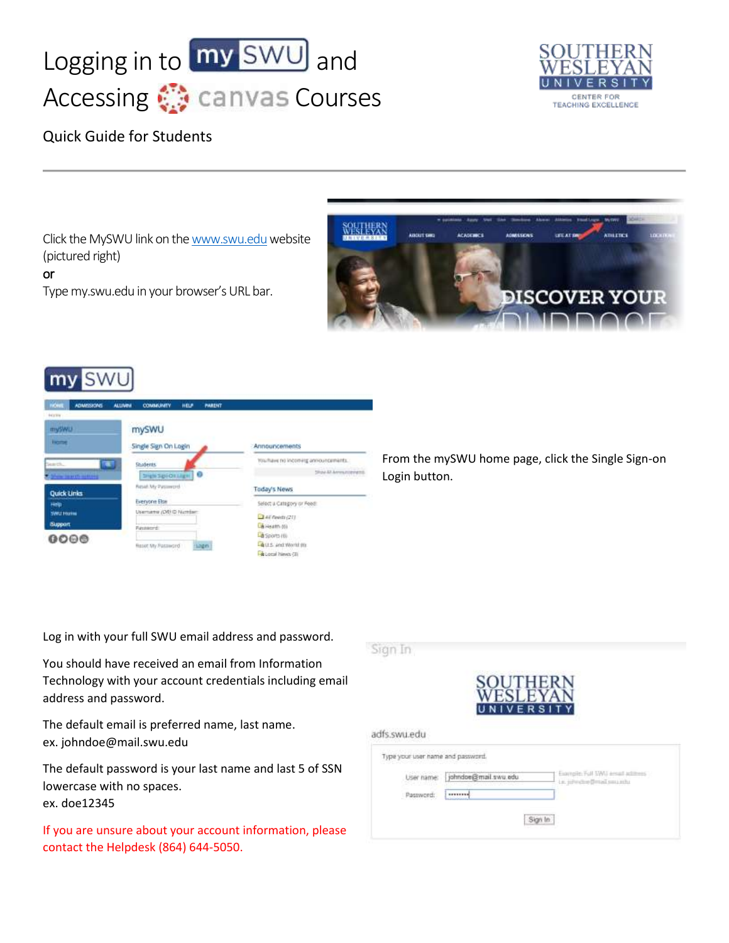## Logging in to  $\boxed{\text{my}$  SWU and Accessing **Courses**



## Quick Guide for Students

Click the MySWU link on th[e www.swu.edu](http://www.swu.edu/) website (pictured right)

or

Type my.swu.edu in your browser's URL bar.



## my SWL

| <b>HOME</b><br>ADMISSIONS | <b>ALLIVIN</b><br><b>COMMUNITY</b><br><b>PARENT</b><br><b>HELP</b> |                                                                    |
|---------------------------|--------------------------------------------------------------------|--------------------------------------------------------------------|
| <b>FEED</b>               |                                                                    |                                                                    |
| mySWU                     | With Gotto and the<br>mySWU                                        |                                                                    |
| <b>Hame</b>               | Single Sign On Login                                               | Amnouncements                                                      |
| τ<br>Search.              | <b>Students</b>                                                    | You have no incoming announcements.                                |
| Show bearth willing       | <b>SHEN SQUOREREN</b><br>$\bullet$                                 | <b>Show All Announcement</b>                                       |
| <b>Quick Links</b>        | Result My Passwerel                                                | Today's News                                                       |
| Help                      | <b>Everyone Else</b>                                               | Select a Category or Feed:                                         |
| <b>SWILL FOURNE</b>       | Username (ORHD Number                                              | $247$ floots (21)                                                  |
| <b>Support</b>            | Panowerd                                                           | City creation of the                                               |
| 0000                      |                                                                    | La Sports (6)                                                      |
|                           | Resort My Password<br><b>LDETT</b>                                 | <b>BLUS: And World (III)</b><br><b>Call is comed following PRO</b> |

From the mySWU home page, click the Single Sign-on Login button.

Log in with your full SWU email address and password.

You should have received an email from Information Technology with your account credentials including email address and password.

The default email is preferred name, last name. ex. johndoe@mail.swu.edu

The default password is your last name and last 5 of SSN lowercase with no spaces. ex. doe12345

If you are unsure about your account information, please contact the Helpdesk (864) 644-5050.

Sign In adfs.swu.edu Type your user name and password. Exemple: Full SWI) arount acts User name: johndoe@mail.swu.edu Lie Aidendere Bernell son circle Password: [ --------] Sign In